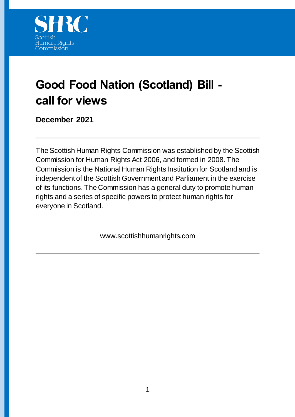

# **Good Food Nation (Scotland) Bill call for views**

### **December 2021**

The Scottish Human Rights Commission was established by the Scottish Commission for Human Rights Act 2006, and formed in 2008. The Commission is the National Human Rights Institution for Scotland and is independent of the Scottish Government and Parliament in the exercise of its functions. The Commission has a general duty to promote human rights and a series of specific powers to protect human rights for everyone in Scotland.

www.scottishhumanrights.com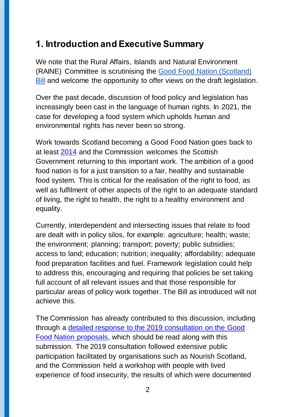# **1. Introduction and Executive Summary**

We note that the Rural Affairs, Islands and Natural Environment (RAINE) Committee is scrutinising the [Good Food Nation \(Scotland\)](https://www.parliament.scot/bills-and-laws/bills/good-food-nation-scotland-bill/overview)  [Bill](https://www.parliament.scot/bills-and-laws/bills/good-food-nation-scotland-bill/overview) and welcome the opportunity to offer views on the draft legislation.

Over the past decade, discussion of food policy and legislation has increasingly been cast in the language of human rights. In 2021, the case for developing a food system which upholds human and environmental rights has never been so strong.

Work towards Scotland becoming a Good Food Nation goes back to at least [2014](https://webarchive.nrscotland.gov.uk/20210424070640/https:/www.gov.scot/publications/recipe-success-scotlands-national-food-drink-policy-becoming-good-food/pages/2/) and the Commission welcomes the Scottish Government returning to this important work. The ambition of a good food nation is for a just transition to a fair, healthy and sustainable food system. This is critical for the realisation of the right to food, as well as fulfilment of other aspects of the right to an adequate standard of living, the right to health, the right to a healthy environment and equality.

Currently, interdependent and intersecting issues that relate to food are dealt with in policy silos, for example: agriculture; health; waste; the environment; planning; transport; poverty; public subsidies; access to land; education; nutrition; inequality; affordability; adequate food preparation facilities and fuel. Framework legislation could help to address this, encouraging and requiring that policies be set taking full account of all relevant issues and that those responsible for particular areas of policy work together. The Bill as introduced will not achieve this.

The Commission has already contributed to this discussion, including through a [detailed response to the 2019 consultation on the Good](https://www.scottishhumanrights.com/media/1845/good-food-nation-shrc-consultation-response-final-4-april-2019.docx)  [Food Nation proposals,](https://www.scottishhumanrights.com/media/1845/good-food-nation-shrc-consultation-response-final-4-april-2019.docx) which should be read along with this submission. The 2019 consultation followed extensive public participation facilitated by organisations such as Nourish Scotland, and the Commission held a workshop with people with lived experience of food insecurity, the results of which were documented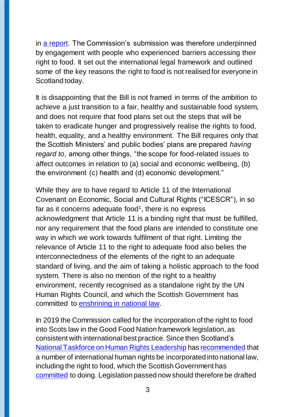in [a report.](https://www.scottishhumanrights.com/media/1843/good-food-nation-and-human-rights-workshop-event-report.docx) The Commission's submission was therefore underpinned by engagement with people who experienced barriers accessing their right to food. It set out the international legal framework and outlined some of the key reasons the right to food is not realised for everyone in Scotland today.

It is disappointing that the Bill is not framed in terms of the ambition to achieve a just transition to a fair, healthy and sustainable food system, and does not require that food plans set out the steps that will be taken to eradicate hunger and progressively realise the rights to food, health, equality, and a healthy environment. The Bill requires only that the Scottish Ministers' and public bodies' plans are prepared *having regard to*, among other things, "the scope for food-related issues to affect outcomes in relation to (a) social and economic wellbeing, (b) the environment (c) health and (d) economic development."

While they are to have regard to Article 11 of the International Covenant on Economic, Social and Cultural Rights ("ICESCR"), in so far as it concerns adequate food<sup>1</sup>, there is no express acknowledgment that Article 11 is a binding right that must be fulfilled, nor any requirement that the food plans are intended to constitute one way in which we work towards fulfilment of that right. Limiting the relevance of Article 11 to the right to adequate food also belies the interconnectedness of the elements of the right to an adequate standard of living, and the aim of taking a holistic approach to the food system. There is also no mention of the right to a healthy environment, recently recognised as a standalone right by the UN Human Rights Council, and which the Scottish Government has committed to [enshrining in national law.](https://www.scottishhumanrights.com/news/commission-welcomes-programme-for-government-commitments-to-human-rights/)

In 2019 the Commission called for the incorporation of the right to food into Scots law in the Good Food Nation framework legislation, as consistent with international best practice. Since then Scotland's [National Taskforce on Human Rights Leadership](https://www.gov.scot/groups/national-taskforce-for-human-rights-leadership/) ha[s recommended](https://www.gov.scot/publications/national-taskforce-human-rights-leadership-report/) that a number of international human rights be incorporated into national law, including the right to food, which the Scottish Government has [committed](https://www.scottishhumanrights.com/news/commission-welcomes-programme-for-government-commitments-to-human-rights/) to doing. Legislation passed now should therefore be drafted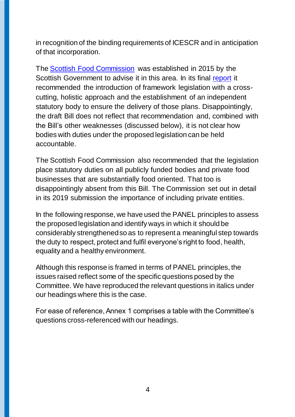in recognition of the binding requirements of ICESCR and in anticipation of that incorporation.

The [Scottish Food Commission](https://webarchive.nrscotland.gov.uk/20210415131533/www.gov.scot/groups/food-commission) was established in 2015 by the Scottish Government to advise it in this area. In its final [report](https://www.gov.scot/binaries/content/documents/govscot/publications/corporate-report/2019/01/scottish-food-commission-final-report/documents/food-commission-final-report-december-2017/food-commission-final-report-december-2017/govscot%3Adocument/Food%2BCommission%2Bfinal%2Breport%2B-%2BDecember%2B2017.pdf) it recommended the introduction of framework legislation with a crosscutting, holistic approach and the establishment of an independent statutory body to ensure the delivery of those plans. Disappointingly, the draft Bill does not reflect that recommendation and, combined with the Bill's other weaknesses (discussed below), it is not clear how bodies with duties under the proposed legislation can be held accountable.

The Scottish Food Commission also recommended that the legislation place statutory duties on all publicly funded bodies and private food businesses that are substantially food oriented. That too is disappointingly absent from this Bill. The Commission set out in detail in its 2019 submission the importance of including private entities.

In the following response, we have used the PANEL principles to assess the proposed legislation and identify ways in which it should be considerably strengthened so as to represent a meaningful step towards the duty to respect, protect and fulfil everyone's right to food, health, equality and a healthy environment.

Although this response is framed in terms of PANEL principles, the issues raised reflect some of the specific questions posed by the Committee. We have reproduced the relevant questions in italics under our headings where this is the case.

For ease of reference, Annex 1 comprises a table with the Committee's questions cross-referenced with our headings.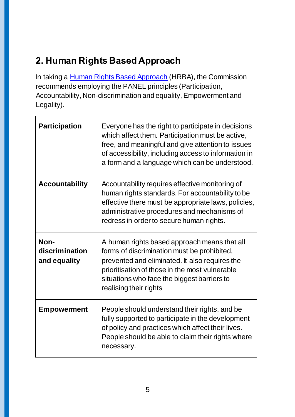# **2. Human Rights Based Approach**

In taking a **Human Rights Based Approach** (HRBA), the Commission recommends employing the PANEL principles (Participation, Accountability, Non-discrimination and equality, Empowerment and Legality).

| <b>Participation</b>                   | Everyone has the right to participate in decisions<br>which affect them. Participation must be active,<br>free, and meaningful and give attention to issues<br>of accessibility, including access to information in<br>a form and a language which can be understood.    |
|----------------------------------------|--------------------------------------------------------------------------------------------------------------------------------------------------------------------------------------------------------------------------------------------------------------------------|
| <b>Accountability</b>                  | Accountability requires effective monitoring of<br>human rights standards. For accountability to be<br>effective there must be appropriate laws, policies,<br>administrative procedures and mechanisms of<br>redress in order to secure human rights.                    |
| Non-<br>discrimination<br>and equality | A human rights based approach means that all<br>forms of discrimination must be prohibited,<br>prevented and eliminated. It also requires the<br>prioritisation of those in the most vulnerable<br>situations who face the biggest barriers to<br>realising their rights |
| <b>Empowerment</b>                     | People should understand their rights, and be<br>fully supported to participate in the development<br>of policy and practices which affect their lives.<br>People should be able to claim their rights where<br>necessary.                                               |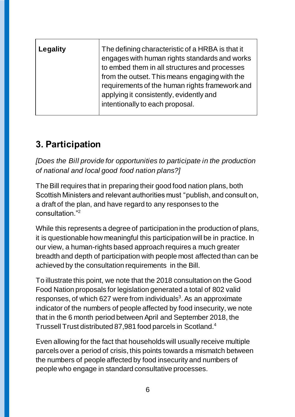| Legality | The defining characteristic of a HRBA is that it<br>engages with human rights standards and works<br>to embed them in all structures and processes<br>from the outset. This means engaging with the<br>requirements of the human rights framework and<br>applying it consistently, evidently and |
|----------|--------------------------------------------------------------------------------------------------------------------------------------------------------------------------------------------------------------------------------------------------------------------------------------------------|
|          | intentionally to each proposal.                                                                                                                                                                                                                                                                  |

### **3. Participation**

*[Does the Bill provide for opportunities to participate in the production of national and local good food nation plans?]*

The Bill requires that in preparing their good food nation plans, both Scottish Ministers and relevant authorities must "publish, and consult on, a draft of the plan, and have regard to any responses to the consultation<sup>"2</sup>

While this represents a degree of participation in the production of plans, it is questionable how meaningful this participation will be in practice. In our view, a human-rights based approach requires a much greater breadth and depth of participation with people most affected than can be achieved by the consultation requirements in the Bill.

To illustrate this point, we note that the 2018 consultation on the Good Food Nation proposals for legislation generated a total of 802 valid responses, of which 627 were from individuals $3$ . As an approximate indicator of the numbers of people affected by food insecurity, we note that in the 6 month period between April and September 2018, the Trussell Trust distributed 87,981 food parcels in Scotland. 4

Even allowing for the fact that households will usually receive multiple parcels over a period of crisis, this points towards a mismatch between the numbers of people affected by food insecurity and numbers of people who engage in standard consultative processes.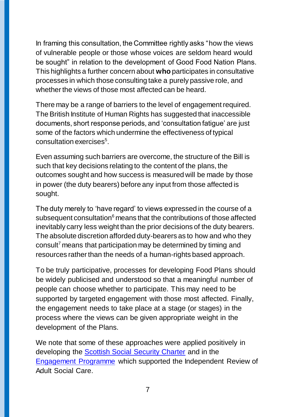In framing this consultation, the Committee rightly asks "how the views of vulnerable people or those whose voices are seldom heard would be sought" in relation to the development of Good Food Nation Plans. This highlights a further concern about **who** participates in consultative processes in which those consulting take a purely passive role, and whether the views of those most affected can be heard.

There may be a range of barriers to the level of engagement required. The British Institute of Human Rights has suggested that inaccessible documents, short response periods, and 'consultation fatigue' are just some of the factors which undermine the effectiveness of typical consultation exercises<sup>5</sup>.

Even assuming such barriers are overcome, the structure of the Bill is such that key decisions relating to the content of the plans, the outcomes sought and how success is measured will be made by those in power (the duty bearers) before any input from those affected is sought.

The duty merely to 'have regard' to views expressed in the course of a subsequent consultation<sup>6</sup> means that the contributions of those affected inevitably carry less weight than the prior decisions of the duty bearers. The absolute discretion afforded duty-bearers as to how and who they consult<sup>7</sup> means that participation may be determined by timing and resources rather than the needs of a human-rights based approach.

To be truly participative, processes for developing Food Plans should be widely publicised and understood so that a meaningful number of people can choose whether to participate. This may need to be supported by targeted engagement with those most affected. Finally, the engagement needs to take place at a stage (or stages) in the process where the views can be given appropriate weight in the development of the Plans.

We note that some of these approaches were applied positively in developing the **Scottish Social Security Charter** and in the [Engagement Programme](https://www.gov.scot/publications/independent-review-of-adult-social-care-engagement-programme/) which supported the Independent Review of Adult Social Care.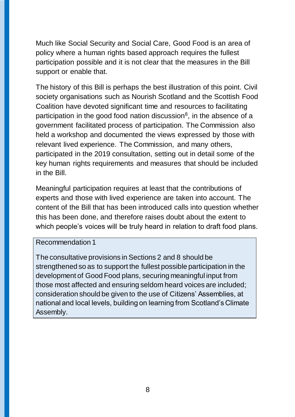Much like Social Security and Social Care, Good Food is an area of policy where a human rights based approach requires the fullest participation possible and it is not clear that the measures in the Bill support or enable that.

The history of this Bill is perhaps the best illustration of this point. Civil society organisations such as Nourish Scotland and the Scottish Food Coalition have devoted significant time and resources to facilitating participation in the good food nation discussion<sup>8</sup>, in the absence of a government facilitated process of participation. The Commission also held a workshop and documented the views expressed by those with relevant lived experience. The Commission, and many others, participated in the 2019 consultation, setting out in detail some of the key human rights requirements and measures that should be included in the Bill.

Meaningful participation requires at least that the contributions of experts and those with lived experience are taken into account. The content of the Bill that has been introduced calls into question whether this has been done, and therefore raises doubt about the extent to which people's voices will be truly heard in relation to draft food plans.

#### Recommendation 1

The consultative provisions in Sections 2 and 8 should be strengthened so as to support the fullest possible participation in the development of Good Food plans, securing meaningful input from those most affected and ensuring seldom heard voices are included; consideration should be given to the use of Citizens' Assemblies, at national and local levels, building on learning from Scotland's Climate Assembly.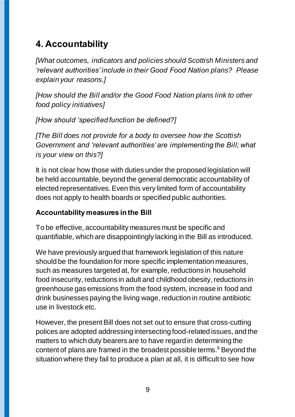# **4. Accountability**

*[What outcomes, indicators and policies should Scottish Ministers and 'relevant authorities' include in their Good Food Nation plans? Please explain your reasons.]*

*[How should the Bill and/or the Good Food Nation plans link to other food policy initiatives]*

*[How should 'specified function be defined?]*

*[The Bill does not provide for a body to oversee how the Scottish Government and 'relevant authorities' are implementing the Bill; what is your view on this?]*

It is not clear how those with duties under the proposed legislation will be held accountable, beyond the general democratic accountability of elected representatives. Even this very limited form of accountability does not apply to health boards or specified public authorities.

### **Accountability measures in the Bill**

To be effective, accountability measures must be specific and quantifiable, which are disappointingly lacking in the Bill as introduced.

We have previously argued that framework legislation of this nature should be the foundation for more specific implementation measures, such as measures targeted at, for example, reductions in household food insecurity, reductions in adult and childhood obesity, reductions in greenhouse gas emissions from the food system, increase in food and drink businesses paying the living wage, reduction in routine antibiotic use in livestock etc.

However, the present Bill does not set out to ensure that cross-cutting polices are adopted addressing intersecting food-related issues, and the matters to which duty bearers are to have regard in determining the content of plans are framed in the broadest possible terms.<sup>9</sup> Beyond the situation where they fail to produce a plan at all, it is difficult to see how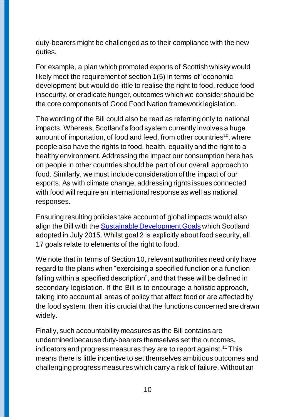duty-bearers might be challenged as to their compliance with the new duties.

For example, a plan which promoted exports of Scottish whisky would likely meet the requirement of section 1(5) in terms of 'economic development' but would do little to realise the right to food, reduce food insecurity, or eradicate hunger, outcomes which we consider should be the core components of Good Food Nation framework legislation.

The wording of the Bill could also be read as referring only to national impacts. Whereas, Scotland's food system currently involves a huge amount of importation, of food and feed, from other countries<sup>10</sup>, where people also have the rights to food, health, equality and the right to a healthy environment. Addressing the impact our consumption here has on people in other countries should be part of our overall approach to food. Similarly, we must include consideration of the impact of our exports. As with climate change, addressing rights issues connected with food will require an international response as well as national responses.

Ensuring resulting policies take account of global impacts would also align the Bill with the [Sustainable Development Goals](https://sdgs.un.org/goals) which Scotland adopted in July 2015. Whilst goal 2 is explicitly about food security, all 17 goals relate to elements of the right to food.

We note that in terms of Section 10, relevant authorities need only have regard to the plans when "exercising a specified function or a function falling within a specified description", and that these will be defined in secondary legislation. If the Bill is to encourage a holistic approach, taking into account all areas of policy that affect food or are affected by the food system, then it is crucial that the functions concerned are drawn widely.

Finally, such accountability measures as the Bill contains are undermined because duty-bearers themselves set the outcomes, indicators and progress measures they are to report against.<sup>11</sup> This means there is little incentive to set themselves ambitious outcomes and challenging progress measures which carry a risk of failure. Without an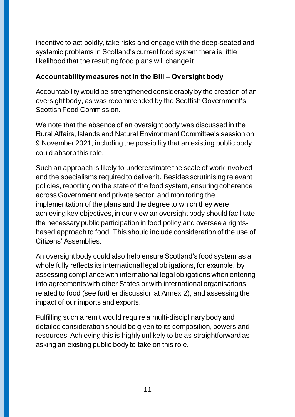incentive to act boldly, take risks and engage with the deep-seated and systemic problems in Scotland's current food system there is little likelihood that the resulting food plans will change it.

### **Accountability measures not in the Bill – Oversight body**

Accountability would be strengthened considerably by the creation of an oversight body, as was recommended by the Scottish Government's Scottish Food Commission.

We note that the absence of an oversight body was discussed in the Rural Affairs, Islands and Natural Environment Committee's session on 9 November 2021, including the possibility that an existing public body could absorb this role.

Such an approach is likely to underestimate the scale of work involved and the specialisms required to deliver it. Besides scrutinising relevant policies, reporting on the state of the food system, ensuring coherence across Government and private sector, and monitoring the implementation of the plans and the degree to which they were achieving key objectives, in our view an oversight body should facilitate the necessary public participation in food policy and oversee a rightsbased approach to food. This should include consideration of the use of Citizens' Assemblies.

An oversight body could also help ensure Scotland's food system as a whole fully reflects its international legal obligations, for example, by assessing compliance with international legal obligations when entering into agreements with other States or with international organisations related to food (see further discussion at Annex 2), and assessing the impact of our imports and exports.

Fulfilling such a remit would require a multi-disciplinary body and detailed consideration should be given to its composition, powers and resources. Achieving this is highly unlikely to be as straightforward as asking an existing public body to take on this role.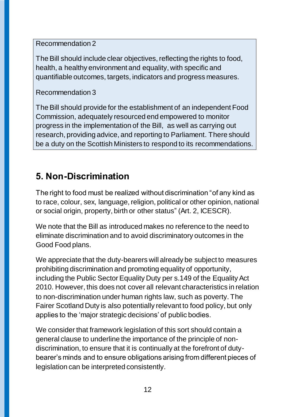Recommendation 2

The Bill should include clear objectives, reflecting the rights to food, health, a healthy environment and equality, with specific and quantifiable outcomes, targets, indicators and progress measures.

Recommendation 3

The Bill should provide for the establishment of an independent Food Commission, adequately resourced end empowered to monitor progress in the implementation of the Bill, as well as carrying out research, providing advice, and reporting to Parliament. There should be a duty on the Scottish Ministers to respond to its recommendations.

# **5. Non-Discrimination**

The right to food must be realized without discrimination "of any kind as to race, colour, sex, language, religion, political or other opinion, national or social origin, property, birth or other status" (Art. 2, ICESCR).

We note that the Bill as introduced makes no reference to the need to eliminate discrimination and to avoid discriminatory outcomes in the Good Food plans.

We appreciate that the duty-bearers will already be subject to measures prohibiting discrimination and promoting equality of opportunity, including the Public Sector Equality Duty per s.149 of the Equality Act 2010. However, this does not cover all relevant characteristics in relation to non-discrimination under human rights law, such as poverty. The Fairer Scotland Duty is also potentially relevant to food policy, but only applies to the 'major strategic decisions' of public bodies.

We consider that framework legislation of this sort should contain a general clause to underline the importance of the principle of nondiscrimination, to ensure that it is continually at the forefront of dutybearer's minds and to ensure obligations arising from different pieces of legislation can be interpreted consistently.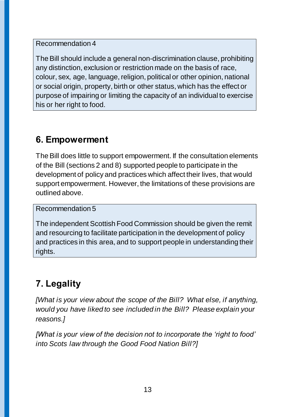Recommendation 4

The Bill should include a general non-discrimination clause, prohibiting any distinction, exclusion or restriction made on the basis of race, colour, sex, age, language, religion, political or other opinion, national or social origin, property, birth or other status, which has the effect or purpose of impairing or limiting the capacity of an individual to exercise his or her right to food.

# **6. Empowerment**

The Bill does little to support empowerment. If the consultation elements of the Bill (sections 2 and 8) supported people to participate in the development of policy and practices which affect their lives, that would support empowerment. However, the limitations of these provisions are outlined above.

Recommendation 5

The independent Scottish Food Commission should be given the remit and resourcing to facilitate participation in the development of policy and practices in this area, and to support people in understanding their rights.

# **7. Legality**

*[What is your view about the scope of the Bill? What else, if anything, would you have liked to see included in the Bill? Please explain your reasons.]*

*[What is your view of the decision not to incorporate the 'right to food' into Scots law through the Good Food Nation Bill?]*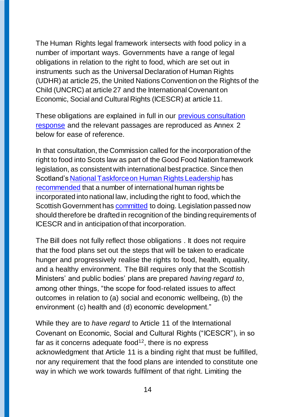The Human Rights legal framework intersects with food policy in a number of important ways. Governments have a range of legal obligations in relation to the right to food, which are set out in instruments such as the Universal Declaration of Human Rights (UDHR) at article 25, the United Nations Convention on the Rights of the Child (UNCRC) at article 27 and the International Covenant on Economic, Social and Cultural Rights (ICESCR) at article 11.

These obligations are explained in full in our [previous consultation](https://www.scottishhumanrights.com/media/1845/good-food-nation-shrc-consultation-response-final-4-april-2019.docx)  [response](https://www.scottishhumanrights.com/media/1845/good-food-nation-shrc-consultation-response-final-4-april-2019.docx) and the relevant passages are reproduced as Annex 2 below for ease of reference.

In that consultation, the Commission called for the incorporation of the right to food into Scots law as part of the Good Food Nation framework legislation, as consistent with international best practice. Since then Scotland'[s National Taskforce on Human Rights Leadership](https://www.gov.scot/groups/national-taskforce-for-human-rights-leadership/) has [recommended](https://www.gov.scot/publications/national-taskforce-human-rights-leadership-report/) that a number of international human rights be incorporated into national law, including the right to food, which the Scottish Government has [committed](https://www.scottishhumanrights.com/news/commission-welcomes-programme-for-government-commitments-to-human-rights/) to doing. Legislation passed now should therefore be drafted in recognition of the binding requirements of ICESCR and in anticipation of that incorporation.

The Bill does not fully reflect those obligations . It does not require that the food plans set out the steps that will be taken to eradicate hunger and progressively realise the rights to food, health, equality, and a healthy environment. The Bill requires only that the Scottish Ministers' and public bodies' plans are prepared *having regard to*, among other things, "the scope for food-related issues to affect outcomes in relation to (a) social and economic wellbeing, (b) the environment (c) health and (d) economic development."

While they are to *have regard* to Article 11 of the International Covenant on Economic, Social and Cultural Rights ("ICESCR"), in so far as it concerns adequate food $12$ , there is no express acknowledgment that Article 11 is a binding right that must be fulfilled, nor any requirement that the food plans are intended to constitute one way in which we work towards fulfilment of that right. Limiting the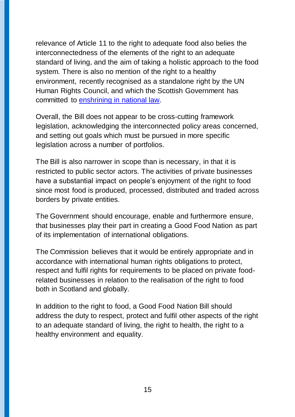relevance of Article 11 to the right to adequate food also belies the interconnectedness of the elements of the right to an adequate standard of living, and the aim of taking a holistic approach to the food system. There is also no mention of the right to a healthy environment, recently recognised as a standalone right by the UN Human Rights Council, and which the Scottish Government has committed to [enshrining in national law.](https://www.scottishhumanrights.com/news/commission-welcomes-programme-for-government-commitments-to-human-rights/)

Overall, the Bill does not appear to be cross-cutting framework legislation, acknowledging the interconnected policy areas concerned, and setting out goals which must be pursued in more specific legislation across a number of portfolios.

The Bill is also narrower in scope than is necessary, in that it is restricted to public sector actors. The activities of private businesses have a substantial impact on people's enjoyment of the right to food since most food is produced, processed, distributed and traded across borders by private entities.

The Government should encourage, enable and furthermore ensure, that businesses play their part in creating a Good Food Nation as part of its implementation of international obligations.

The Commission believes that it would be entirely appropriate and in accordance with international human rights obligations to protect, respect and fulfil rights for requirements to be placed on private foodrelated businesses in relation to the realisation of the right to food both in Scotland and globally.

In addition to the right to food, a Good Food Nation Bill should address the duty to respect, protect and fulfil other aspects of the right to an adequate standard of living, the right to health, the right to a healthy environment and equality.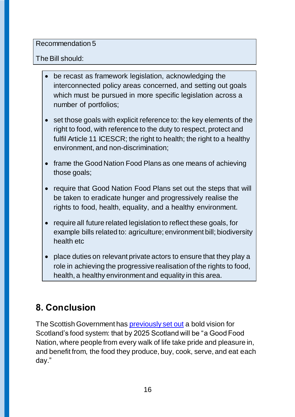#### Recommendation 5

### The Bill should:

- be recast as framework legislation, acknowledging the interconnected policy areas concerned, and setting out goals which must be pursued in more specific legislation across a number of portfolios;
- set those goals with explicit reference to: the key elements of the right to food, with reference to the duty to respect, protect and fulfil Article 11 ICESCR; the right to health; the right to a healthy environment, and non-discrimination;
- frame the Good Nation Food Plans as one means of achieving those goals;
- require that Good Nation Food Plans set out the steps that will be taken to eradicate hunger and progressively realise the rights to food, health, equality, and a healthy environment.
- require all future related legislation to reflect these goals, for example bills related to: agriculture; environment bill; biodiversity health etc
- place duties on relevant private actors to ensure that they play a role in achieving the progressive realisation of the rights to food, health, a healthy environment and equality in this area.

# **8. Conclusion**

The Scottish Government has [previously set out](https://www.gov.scot/publications/recipe-success-scotlands-national-food-drink-policy-becoming-good-food/) a bold vision for Scotland's food system: that by 2025 Scotland will be "a Good Food Nation, where people from every walk of life take pride and pleasure in, and benefit from, the food they produce, buy, cook, serve, and eat each day."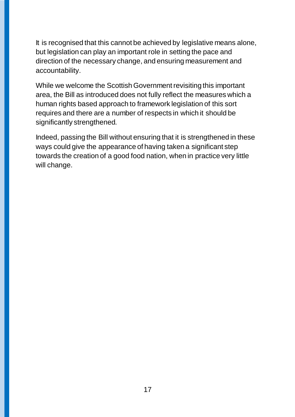It is recognised that this cannot be achieved by legislative means alone, but legislation can play an important role in setting the pace and direction of the necessary change, and ensuring measurement and accountability.

While we welcome the Scottish Government revisiting this important area, the Bill as introduced does not fully reflect the measures which a human rights based approach to framework legislation of this sort requires and there are a number of respects in which it should be significantly strengthened.

Indeed, passing the Bill without ensuring that it is strengthened in these ways could give the appearance of having taken a significant step towards the creation of a good food nation, when in practice very little will change.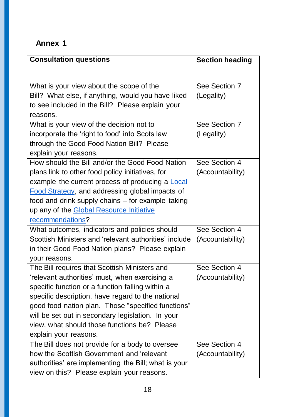# **Annex 1**

| <b>Consultation questions</b>                           | <b>Section heading</b> |
|---------------------------------------------------------|------------------------|
|                                                         |                        |
| What is your view about the scope of the                | See Section 7          |
| Bill? What else, if anything, would you have liked      | (Legality)             |
| to see included in the Bill? Please explain your        |                        |
| reasons.                                                |                        |
| What is your view of the decision not to                | See Section 7          |
| incorporate the 'right to food' into Scots law          | (Legality)             |
| through the Good Food Nation Bill? Please               |                        |
| explain your reasons.                                   |                        |
| How should the Bill and/or the Good Food Nation         | See Section 4          |
| plans link to other food policy initiatives, for        | (Accountability)       |
| example the current process of producing a <b>Local</b> |                        |
| <b>Food Strategy, and addressing global impacts of</b>  |                        |
| food and drink supply chains - for example taking       |                        |
| up any of the Global Resource Initiative                |                        |
| recommendations?                                        |                        |
| What outcomes, indicators and policies should           | See Section 4          |
| Scottish Ministers and 'relevant authorities' include   | (Accountability)       |
| in their Good Food Nation plans? Please explain         |                        |
| your reasons.                                           |                        |
| The Bill requires that Scottish Ministers and           | See Section 4          |
| relevant authorities' must, when exercising a           | (Accountability)       |
| specific function or a function falling within a        |                        |
| specific description, have regard to the national       |                        |
| good food nation plan. Those "specified functions"      |                        |
| will be set out in secondary legislation. In your       |                        |
| view, what should those functions be? Please            |                        |
| explain your reasons.                                   |                        |
| The Bill does not provide for a body to oversee         | See Section 4          |
| how the Scottish Government and 'relevant               | (Accountability)       |
| authorities' are implementing the Bill; what is your    |                        |
| view on this? Please explain your reasons.              |                        |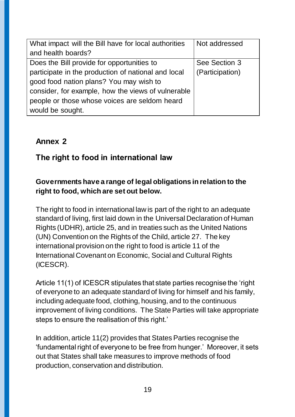| What impact will the Bill have for local authorities | Not addressed   |
|------------------------------------------------------|-----------------|
| and health boards?                                   |                 |
| Does the Bill provide for opportunities to           | See Section 3   |
| participate in the production of national and local  | (Participation) |
| good food nation plans? You may wish to              |                 |
| consider, for example, how the views of vulnerable   |                 |
| people or those whose voices are seldom heard        |                 |
| would be sought.                                     |                 |

### **Annex 2**

### **The right to food in international law**

### **Governments have a range of legal obligations in relation to the right to food, which are set out below.**

The right to food in international law is part of the right to an adequate standard of living, first laid down in the Universal Declaration of Human Rights (UDHR), article 25, and in treaties such as the United Nations (UN) Convention on the Rights of the Child, article 27. The key international provision on the right to food is article 11 of the International Covenant on Economic, Social and Cultural Rights (ICESCR).

Article 11(1) of ICESCR stipulates that state parties recognise the 'right of everyone to an adequate standard of living for himself and his family, including adequate food, clothing, housing, and to the continuous improvement of living conditions. The State Parties will take appropriate steps to ensure the realisation of this right.'

In addition, article 11(2) provides that States Parties recognise the 'fundamental right of everyone to be free from hunger.' Moreover, it sets out that States shall take measures to improve methods of food production, conservation and distribution.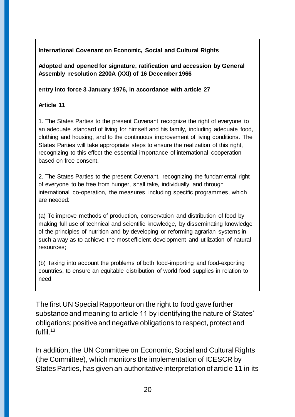**International Covenant on Economic, Social and Cultural Rights** 

**Adopted and opened for signature, ratification and accession by General Assembly resolution 2200A (XXI) of 16 December 1966** 

**entry into force 3 January 1976, in accordance with article 27**

#### **Article 11**

1. The States Parties to the present Covenant recognize the right of everyone to an adequate standard of living for himself and his family, including adequate food, clothing and housing, and to the continuous improvement of living conditions. The States Parties will take appropriate steps to ensure the realization of this right, recognizing to this effect the essential importance of international cooperation based on free consent.

2. The States Parties to the present Covenant, recognizing the fundamental right of everyone to be free from hunger, shall take, individually and through international co-operation, the measures, including specific programmes, which are needed:

(a) To improve methods of production, conservation and distribution of food by making full use of technical and scientific knowledge, by disseminating knowledge of the principles of nutrition and by developing or reforming agrarian systems in such a way as to achieve the most efficient development and utilization of natural resources;

(b) Taking into account the problems of both food-importing and food-exporting countries, to ensure an equitable distribution of world food supplies in relation to need.

The first UN Special Rapporteur on the right to food gave further substance and meaning to article 11 by identifying the nature of States' obligations; positive and negative obligations to respect, protect and fulfil. $13$ 

In addition, the UN Committee on Economic, Social and Cultural Rights (the Committee), which monitors the implementation of ICESCR by States Parties, has given an authoritative interpretation of article 11 in its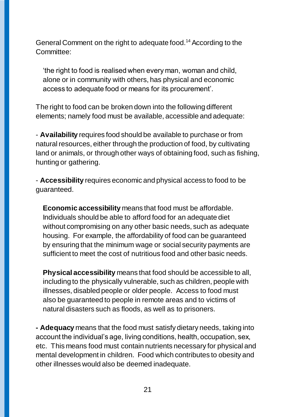General Comment on the right to adequate food.<sup>14</sup> According to the Committee:

'the right to food is realised when every man, woman and child, alone or in community with others, has physical and economic access to adequate food or means for its procurement'.

The right to food can be broken down into the following different elements; namely food must be available, accessible and adequate:

- **Availability** requires food should be available to purchase or from natural resources, either through the production of food, by cultivating land or animals, or through other ways of obtaining food, such as fishing, hunting or gathering.

- **Accessibility** requires economic and physical access to food to be guaranteed.

**Economic accessibility** means that food must be affordable. Individuals should be able to afford food for an adequate diet without compromising on any other basic needs, such as adequate housing. For example, the affordability of food can be guaranteed by ensuring that the minimum wage or social security payments are sufficient to meet the cost of nutritious food and other basic needs.

**Physical accessibility** means that food should be accessible to all, including to the physically vulnerable, such as children, people with illnesses, disabled people or older people. Access to food must also be guaranteed to people in remote areas and to victims of natural disasters such as floods, as well as to prisoners.

**- Adequacy** means that the food must satisfy dietary needs, taking into account the individual's age, living conditions, health, occupation, sex, etc. This means food must contain nutrients necessary for physical and mental development in children. Food which contributes to obesity and other illnesses would also be deemed inadequate.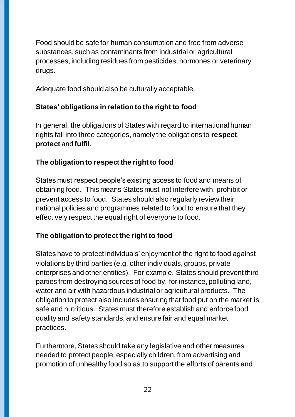Food should be safe for human consumption and free from adverse substances, such as contaminants from industrial or agricultural processes, including residues from pesticides, hormones or veterinary drugs.

Adequate food should also be culturally acceptable.

#### **States' obligations in relation to the right to food**

In general, the obligations of States with regard to international human rights fall into three categories, namely the obligations to **respect**, **protect** and **fulfil**.

#### **The obligation to respect the right to food**

States must respect people's existing access to food and means of obtaining food. This means States must not interfere with, prohibit or prevent access to food. States should also regularly review their national policies and programmes related to food to ensure that they effectively respect the equal right of everyone to food.

#### **The obligation to protect the right to food**

States have to protect individuals' enjoyment of the right to food against violations by third parties (e.g. other individuals, groups, private enterprises and other entities). For example, States should prevent third parties from destroying sources of food by, for instance, polluting land, water and air with hazardous industrial or agricultural products. The obligation to protect also includes ensuring that food put on the market is safe and nutritious. States must therefore establish and enforce food quality and safety standards, and ensure fair and equal market practices.

Furthermore, States should take any legislative and other measures needed to protect people, especially children, from advertising and promotion of unhealthy food so as to support the efforts of parents and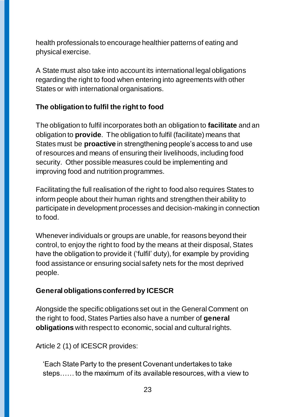health professionals to encourage healthier patterns of eating and physical exercise.

A State must also take into account its international legal obligations regarding the right to food when entering into agreements with other States or with international organisations.

#### **The obligation to fulfil the right to food**

The obligation to fulfil incorporates both an obligation to **facilitate** and an obligation to **provide**. The obligation to fulfil (facilitate) means that States must be **proactive** in strengthening people's access to and use of resources and means of ensuring their livelihoods, including food security. Other possible measures could be implementing and improving food and nutrition programmes.

Facilitating the full realisation of the right to food also requires States to inform people about their human rights and strengthen their ability to participate in development processes and decision-making in connection to food.

Whenever individuals or groups are unable, for reasons beyond their control, to enjoy the right to food by the means at their disposal, States have the obligation to provide it ('fulfil' duty), for example by providing food assistance or ensuring social safety nets for the most deprived people.

#### **General obligations conferred by ICESCR**

Alongside the specific obligations set out in the General Comment on the right to food, States Parties also have a number of **general obligations** with respect to economic, social and cultural rights.

Article 2 (1) of ICESCR provides:

'Each State Party to the present Covenant undertakes to take steps…… to the maximum of its available resources, with a view to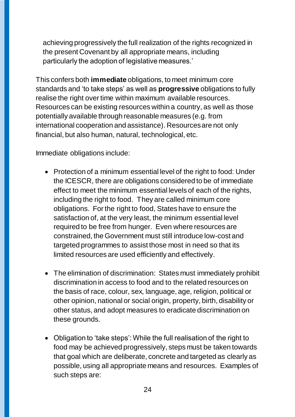achieving progressively the full realization of the rights recognized in the present Covenant by all appropriate means, including particularly the adoption of legislative measures.'

This confers both **immediate** obligations, to meet minimum core standards and 'to take steps' as well as **progressive** obligations to fully realise the right over time within maximum available resources. Resources can be existing resources within a country, as well as those potentially available through reasonable measures (e.g. from international cooperation and assistance). Resources are not only financial, but also human, natural, technological, etc.

Immediate obligations include:

- Protection of a minimum essential level of the right to food: Under the ICESCR, there are obligations considered to be of immediate effect to meet the minimum essential levels of each of the rights, including the right to food. They are called minimum core obligations. For the right to food, States have to ensure the satisfaction of, at the very least, the minimum essential level required to be free from hunger. Even where resources are constrained, the Government must still introduce low-cost and targeted programmes to assist those most in need so that its limited resources are used efficiently and effectively.
- The elimination of discrimination: States must immediately prohibit discrimination in access to food and to the related resources on the basis of race, colour, sex, language, age, religion, political or other opinion, national or social origin, property, birth, disability or other status, and adopt measures to eradicate discrimination on these grounds.
- Obligation to 'take steps': While the full realisation of the right to food may be achieved progressively, steps must be taken towards that goal which are deliberate, concrete and targeted as clearly as possible, using all appropriate means and resources. Examples of such steps are: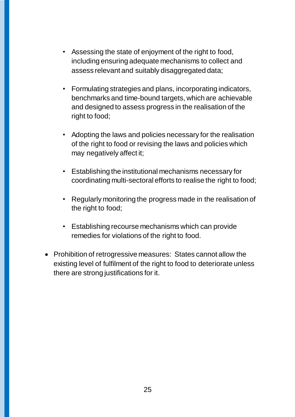- Assessing the state of enjoyment of the right to food, including ensuring adequate mechanisms to collect and assess relevant and suitably disaggregated data;
- Formulating strategies and plans, incorporating indicators, benchmarks and time-bound targets, which are achievable and designed to assess progress in the realisation of the right to food;
- Adopting the laws and policies necessary for the realisation of the right to food or revising the laws and policies which may negatively affect it;
- Establishing the institutional mechanisms necessary for coordinating multi-sectoral efforts to realise the right to food;
- Regularly monitoring the progress made in the realisation of the right to food;
- Establishing recourse mechanisms which can provide remedies for violations of the right to food.
- Prohibition of retrogressive measures: States cannot allow the existing level of fulfilment of the right to food to deteriorate unless there are strong justifications for it.